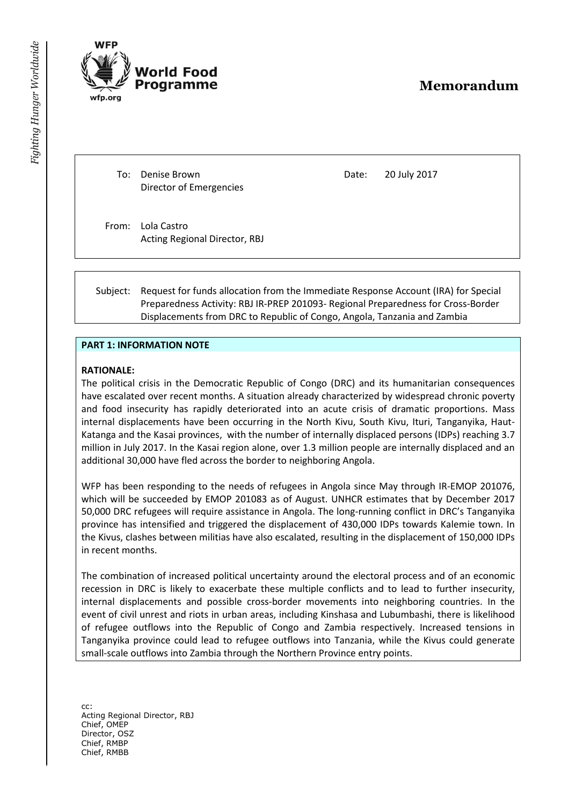# **Memorandum**

To: Denise Brown Director of Emergencies

/orld Food Programme

Date: 20 July 2017

From: Lola Castro Acting Regional Director, RBJ

Subject: Request for funds allocation from the Immediate Response Account (IRA) for Special Preparedness Activity: RBJ IR-PREP 201093- Regional Preparedness for Cross-Border Displacements from DRC to Republic of Congo, Angola, Tanzania and Zambia

#### **PART 1: INFORMATION NOTE**

#### **RATIONALE:**

The political crisis in the Democratic Republic of Congo (DRC) and its humanitarian consequences have escalated over recent months. A situation already characterized by widespread chronic poverty and food insecurity has rapidly deteriorated into an acute crisis of dramatic proportions. Mass internal displacements have been occurring in the North Kivu, South Kivu, Ituri, Tanganyika, Haut-Katanga and the Kasai provinces, with the number of internally displaced persons (IDPs) reaching 3.7 million in July 2017. In the Kasai region alone, over 1.3 million people are internally displaced and an additional 30,000 have fled across the border to neighboring Angola.

WFP has been responding to the needs of refugees in Angola since May through IR-EMOP 201076, which will be succeeded by EMOP 201083 as of August. UNHCR estimates that by December 2017 50,000 DRC refugees will require assistance in Angola. The long-running conflict in DRC's Tanganyika province has intensified and triggered the displacement of 430,000 IDPs towards Kalemie town. In the Kivus, clashes between militias have also escalated, resulting in the displacement of 150,000 IDPs in recent months.

The combination of increased political uncertainty around the electoral process and of an economic recession in DRC is likely to exacerbate these multiple conflicts and to lead to further insecurity, internal displacements and possible cross-border movements into neighboring countries. In the event of civil unrest and riots in urban areas, including Kinshasa and Lubumbashi, there is likelihood of refugee outflows into the Republic of Congo and Zambia respectively. Increased tensions in Tanganyika province could lead to refugee outflows into Tanzania, while the Kivus could generate small-scale outflows into Zambia through the Northern Province entry points.

cc: Acting Regional Director, RBJ Chief, OMEP Director, OSZ Chief, RMBP Chief, RMBB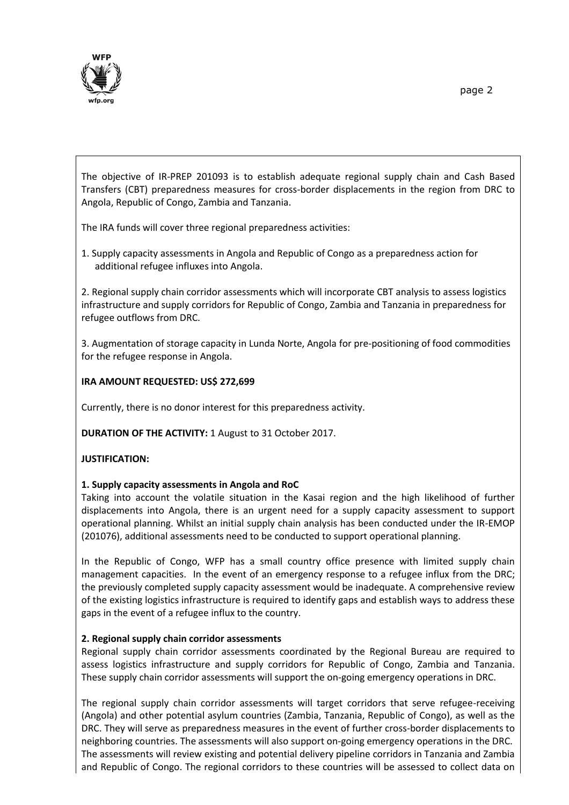

The objective of IR-PREP 201093 is to establish adequate regional supply chain and Cash Based Transfers (CBT) preparedness measures for cross-border displacements in the region from DRC to Angola, Republic of Congo, Zambia and Tanzania.

The IRA funds will cover three regional preparedness activities:

1. Supply capacity assessments in Angola and Republic of Congo as a preparedness action for additional refugee influxes into Angola.

2. Regional supply chain corridor assessments which will incorporate CBT analysis to assess logistics infrastructure and supply corridors for Republic of Congo, Zambia and Tanzania in preparedness for refugee outflows from DRC.

3. Augmentation of storage capacity in Lunda Norte, Angola for pre-positioning of food commodities for the refugee response in Angola.

## **IRA AMOUNT REQUESTED: US\$ 272,699**

Currently, there is no donor interest for this preparedness activity.

**DURATION OF THE ACTIVITY:** 1 August to 31 October 2017.

### **JUSTIFICATION:**

### **1. Supply capacity assessments in Angola and RoC**

Taking into account the volatile situation in the Kasai region and the high likelihood of further displacements into Angola, there is an urgent need for a supply capacity assessment to support operational planning. Whilst an initial supply chain analysis has been conducted under the IR-EMOP (201076), additional assessments need to be conducted to support operational planning.

In the Republic of Congo, WFP has a small country office presence with limited supply chain management capacities. In the event of an emergency response to a refugee influx from the DRC; the previously completed supply capacity assessment would be inadequate. A comprehensive review of the existing logistics infrastructure is required to identify gaps and establish ways to address these gaps in the event of a refugee influx to the country.

### **2. Regional supply chain corridor assessments**

Regional supply chain corridor assessments coordinated by the Regional Bureau are required to assess logistics infrastructure and supply corridors for Republic of Congo, Zambia and Tanzania. These supply chain corridor assessments will support the on-going emergency operations in DRC.

The regional supply chain corridor assessments will target corridors that serve refugee-receiving (Angola) and other potential asylum countries (Zambia, Tanzania, Republic of Congo), as well as the DRC. They will serve as preparedness measures in the event of further cross-border displacements to neighboring countries. The assessments will also support on-going emergency operations in the DRC. The assessments will review existing and potential delivery pipeline corridors in Tanzania and Zambia and Republic of Congo. The regional corridors to these countries will be assessed to collect data on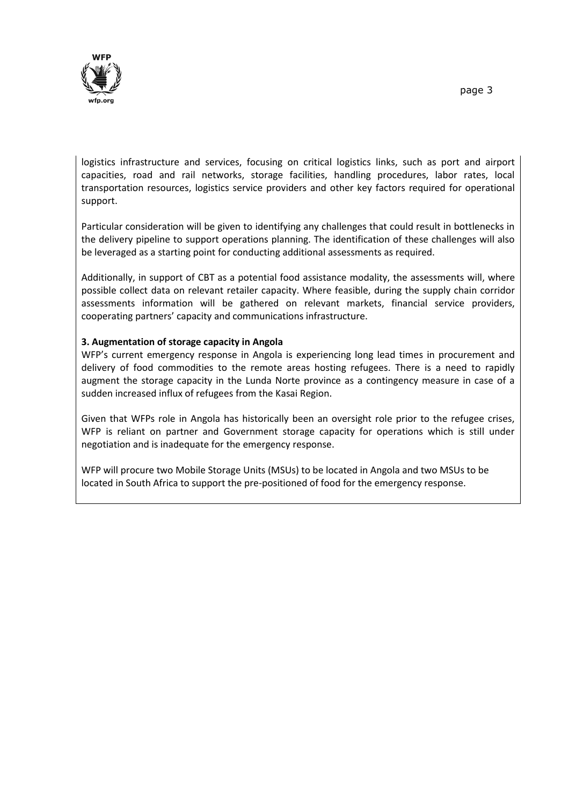

logistics infrastructure and services, focusing on critical logistics links, such as port and airport capacities, road and rail networks, storage facilities, handling procedures, labor rates, local transportation resources, logistics service providers and other key factors required for operational support.

Particular consideration will be given to identifying any challenges that could result in bottlenecks in the delivery pipeline to support operations planning. The identification of these challenges will also be leveraged as a starting point for conducting additional assessments as required.

Additionally, in support of CBT as a potential food assistance modality, the assessments will, where possible collect data on relevant retailer capacity. Where feasible, during the supply chain corridor assessments information will be gathered on relevant markets, financial service providers, cooperating partners' capacity and communications infrastructure.

### **3. Augmentation of storage capacity in Angola**

WFP's current emergency response in Angola is experiencing long lead times in procurement and delivery of food commodities to the remote areas hosting refugees. There is a need to rapidly augment the storage capacity in the Lunda Norte province as a contingency measure in case of a sudden increased influx of refugees from the Kasai Region.

Given that WFPs role in Angola has historically been an oversight role prior to the refugee crises, WFP is reliant on partner and Government storage capacity for operations which is still under negotiation and is inadequate for the emergency response.

WFP will procure two Mobile Storage Units (MSUs) to be located in Angola and two MSUs to be located in South Africa to support the pre-positioned of food for the emergency response.